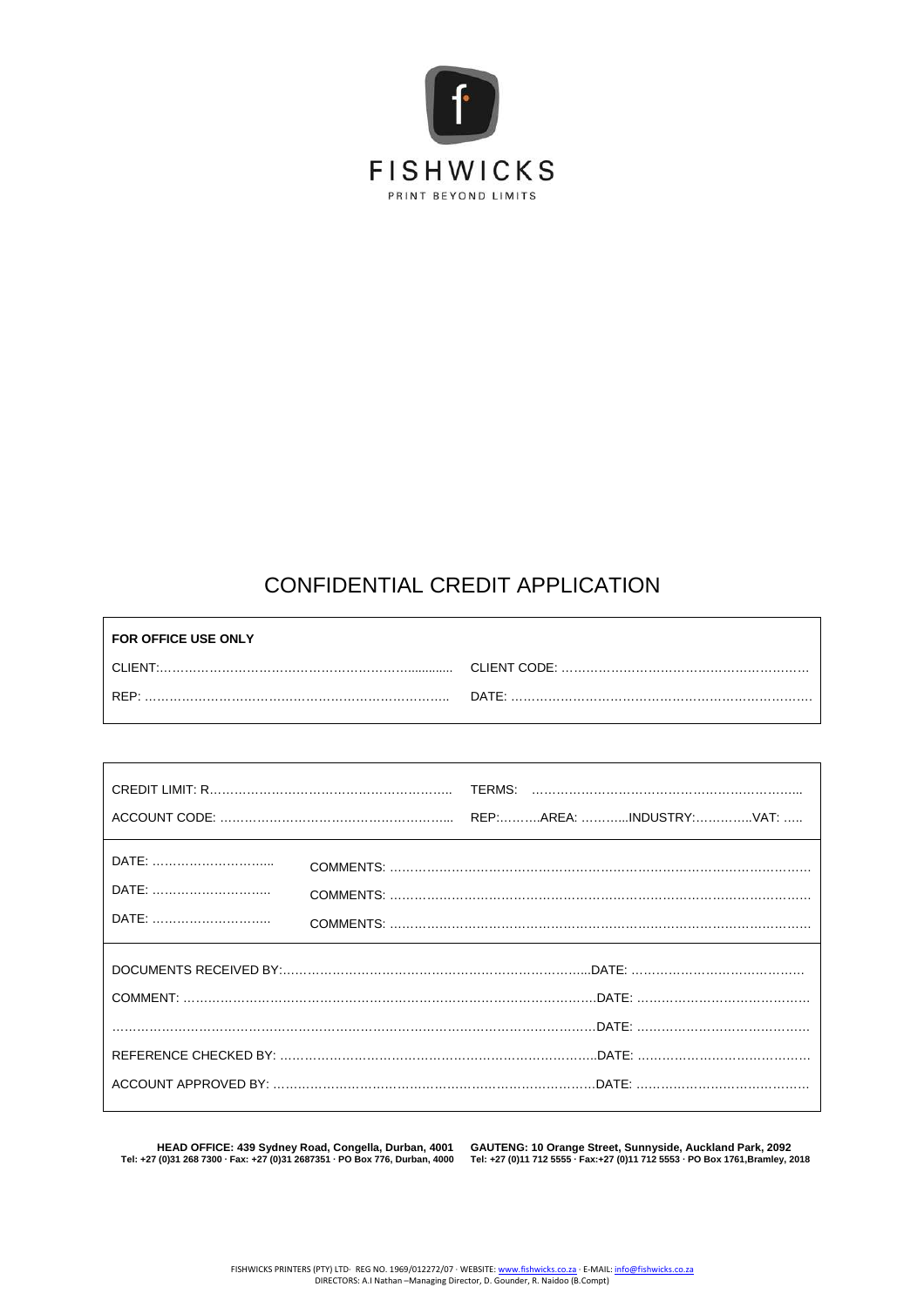

# CONFIDENTIAL CREDIT APPLICATION

| <b>FOR OFFICE USE ONLY</b> |       |
|----------------------------|-------|
| CLIENT.                    |       |
| RFP.                       | DATE: |

| DATE:<br>DATE:<br>DATE: |  |  |
|-------------------------|--|--|
|                         |  |  |
|                         |  |  |

 $\overline{1}$ 

HEAD OFFICE: 439 Sydney Road, Congella, Durban, 4001 GAUTENG: 10 Orange Street, Sunnyside, Auckland Park, 2092<br>Tel: +27 (0)11 712 5555 · Fax: +27 (0)11 712 5553 · PO Box 776, Durban, 4000 Tel: +27 (0)11 712 5555 ·

٦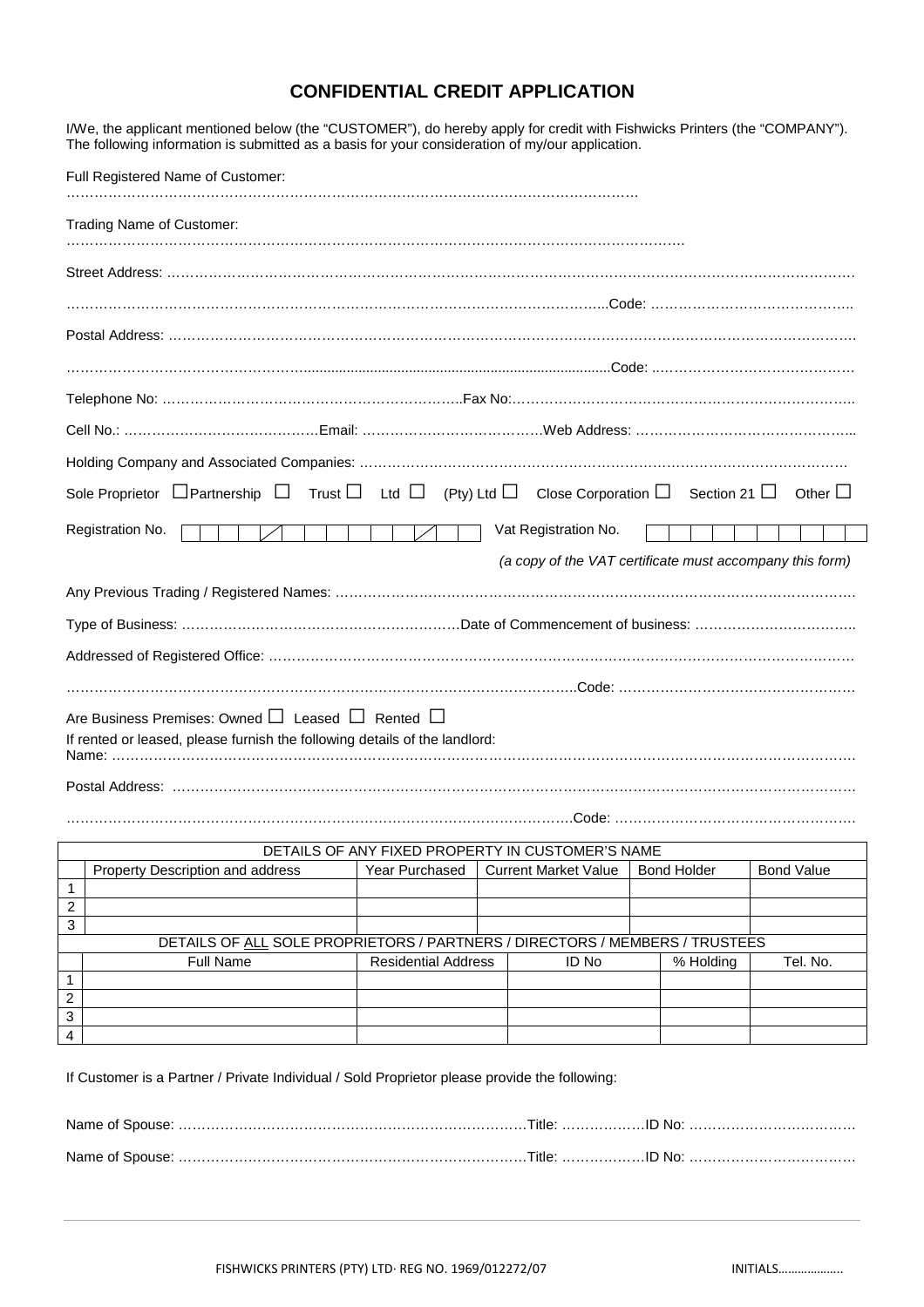### **CONFIDENTIAL CREDIT APPLICATION**

I/We, the applicant mentioned below (the "CUSTOMER"), do hereby apply for credit with Fishwicks Printers (the "COMPANY").

| The following information is submitted as a basis for your consideration of my/our application.                                               |  |  |
|-----------------------------------------------------------------------------------------------------------------------------------------------|--|--|
| Full Registered Name of Customer:                                                                                                             |  |  |
| Trading Name of Customer:                                                                                                                     |  |  |
|                                                                                                                                               |  |  |
|                                                                                                                                               |  |  |
|                                                                                                                                               |  |  |
|                                                                                                                                               |  |  |
|                                                                                                                                               |  |  |
|                                                                                                                                               |  |  |
|                                                                                                                                               |  |  |
| Sole Proprietor $\Box$ Partnership $\Box$ Trust $\Box$ Ltd $\Box$ (Pty) Ltd $\Box$ Close Corporation $\Box$ Section 21 $\Box$<br>Other $\Box$ |  |  |
| Registration No.<br>Vat Registration No.                                                                                                      |  |  |
| (a copy of the VAT certificate must accompany this form)                                                                                      |  |  |
|                                                                                                                                               |  |  |
|                                                                                                                                               |  |  |
|                                                                                                                                               |  |  |
|                                                                                                                                               |  |  |
| Are Business Premises: Owned □ Leased □ Rented □<br>If rented or leased, please furnish the following details of the landlord:                |  |  |
|                                                                                                                                               |  |  |

……………………………………………………………………………………………….Code: …………………………………………….

| DETAILS OF ANY FIXED PROPERTY IN CUSTOMER'S NAME                            |                                  |                            |                             |       |                    |           |                   |
|-----------------------------------------------------------------------------|----------------------------------|----------------------------|-----------------------------|-------|--------------------|-----------|-------------------|
|                                                                             | Property Description and address | Year Purchased             | <b>Current Market Value</b> |       | <b>Bond Holder</b> |           | <b>Bond Value</b> |
|                                                                             |                                  |                            |                             |       |                    |           |                   |
| 2                                                                           |                                  |                            |                             |       |                    |           |                   |
| 3                                                                           |                                  |                            |                             |       |                    |           |                   |
| DETAILS OF ALL SOLE PROPRIETORS / PARTNERS / DIRECTORS / MEMBERS / TRUSTEES |                                  |                            |                             |       |                    |           |                   |
|                                                                             | <b>Full Name</b>                 | <b>Residential Address</b> |                             | ID No |                    | % Holding | Tel. No.          |
|                                                                             |                                  |                            |                             |       |                    |           |                   |
| 2                                                                           |                                  |                            |                             |       |                    |           |                   |
| 3                                                                           |                                  |                            |                             |       |                    |           |                   |
| 4                                                                           |                                  |                            |                             |       |                    |           |                   |

If Customer is a Partner / Private Individual / Sold Proprietor please provide the following: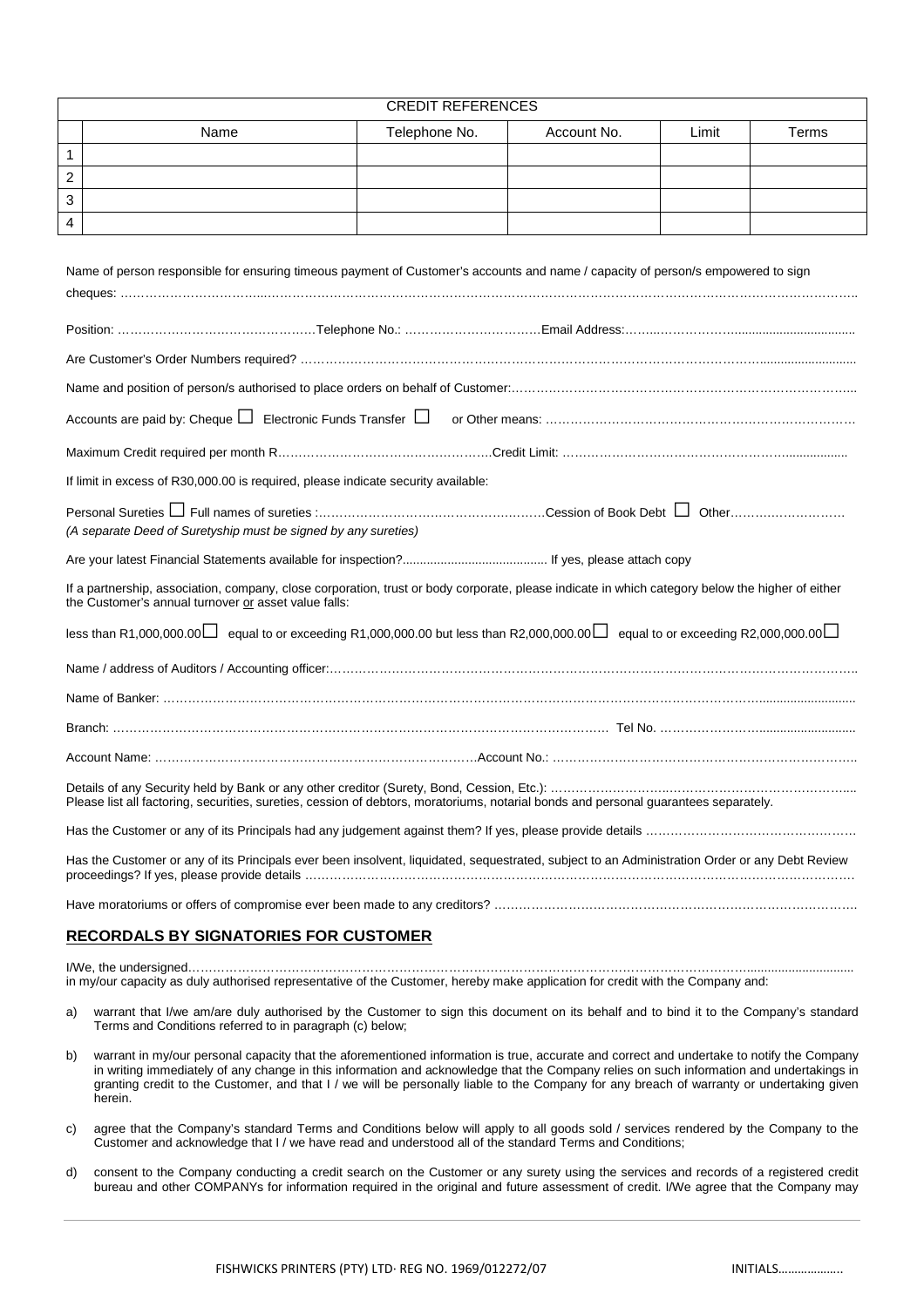| <b>CREDIT REFERENCES</b> |      |               |             |       |       |
|--------------------------|------|---------------|-------------|-------|-------|
|                          | Name | Telephone No. | Account No. | Limit | Terms |
|                          |      |               |             |       |       |
| ◠                        |      |               |             |       |       |
| ◠<br>ັ                   |      |               |             |       |       |
| 4                        |      |               |             |       |       |

| Name of person responsible for ensuring timeous payment of Customer's accounts and name / capacity of person/s empowered to sign                                                                                                                                 |  |  |  |  |
|------------------------------------------------------------------------------------------------------------------------------------------------------------------------------------------------------------------------------------------------------------------|--|--|--|--|
|                                                                                                                                                                                                                                                                  |  |  |  |  |
|                                                                                                                                                                                                                                                                  |  |  |  |  |
|                                                                                                                                                                                                                                                                  |  |  |  |  |
| Accounts are paid by: Cheque $\Box$ Electronic Funds Transfer $\Box$                                                                                                                                                                                             |  |  |  |  |
|                                                                                                                                                                                                                                                                  |  |  |  |  |
| If limit in excess of R30,000.00 is required, please indicate security available:                                                                                                                                                                                |  |  |  |  |
| Personal Sureties $\Box$ Full names of sureties $\ldots$ $\ldots$ $\ldots$ $\ldots$ $\ldots$ $\ldots$ $\ldots$ $\ldots$ $\ldots$ $\ldots$ $\ldots$ $\ldots$ $\Box$ Other $\ldots$ Other $\Box$<br>(A separate Deed of Suretyship must be signed by any sureties) |  |  |  |  |
|                                                                                                                                                                                                                                                                  |  |  |  |  |
| If a partnership, association, company, close corporation, trust or body corporate, please indicate in which category below the higher of either<br>the Customer's annual turnover or asset value falls:                                                         |  |  |  |  |
| less than R1,000,000.00 $\Box$ equal to or exceeding R1,000,000.00 but less than R2,000,000.00 $\Box$ equal to or exceeding R2,000,000.00 $\Box$                                                                                                                 |  |  |  |  |
|                                                                                                                                                                                                                                                                  |  |  |  |  |
|                                                                                                                                                                                                                                                                  |  |  |  |  |
|                                                                                                                                                                                                                                                                  |  |  |  |  |
|                                                                                                                                                                                                                                                                  |  |  |  |  |
| Please list all factoring, securities, sureties, cession of debtors, moratoriums, notarial bonds and personal guarantees separately.                                                                                                                             |  |  |  |  |
|                                                                                                                                                                                                                                                                  |  |  |  |  |
| Has the Customer or any of its Principals ever been insolvent, liquidated, sequestrated, subject to an Administration Order or any Debt Review                                                                                                                   |  |  |  |  |

## Have moratoriums or offers of compromise ever been made to any creditors? …………………………………………………………………………….

### **RECORDALS BY SIGNATORIES FOR CUSTOMER**

I/We, the undersigned………………………………………………………………………………………………………………………............................... in my/our capacity as duly authorised representative of the Customer, hereby make application for credit with the Company and:

- a) warrant that I/we am/are duly authorised by the Customer to sign this document on its behalf and to bind it to the Company's standard Terms and Conditions referred to in paragraph (c) below;
- b) warrant in my/our personal capacity that the aforementioned information is true, accurate and correct and undertake to notify the Company in writing immediately of any change in this information and acknowledge that the Company relies on such information and undertakings in granting credit to the Customer, and that I / we will be personally liable to the Company for any breach of warranty or undertaking given herein.
- c) agree that the Company's standard Terms and Conditions below will apply to all goods sold / services rendered by the Company to the Customer and acknowledge that I / we have read and understood all of the standard Terms and Conditions;
- d) consent to the Company conducting a credit search on the Customer or any surety using the services and records of a registered credit bureau and other COMPANYs for information required in the original and future assessment of credit. I/We agree that the Company may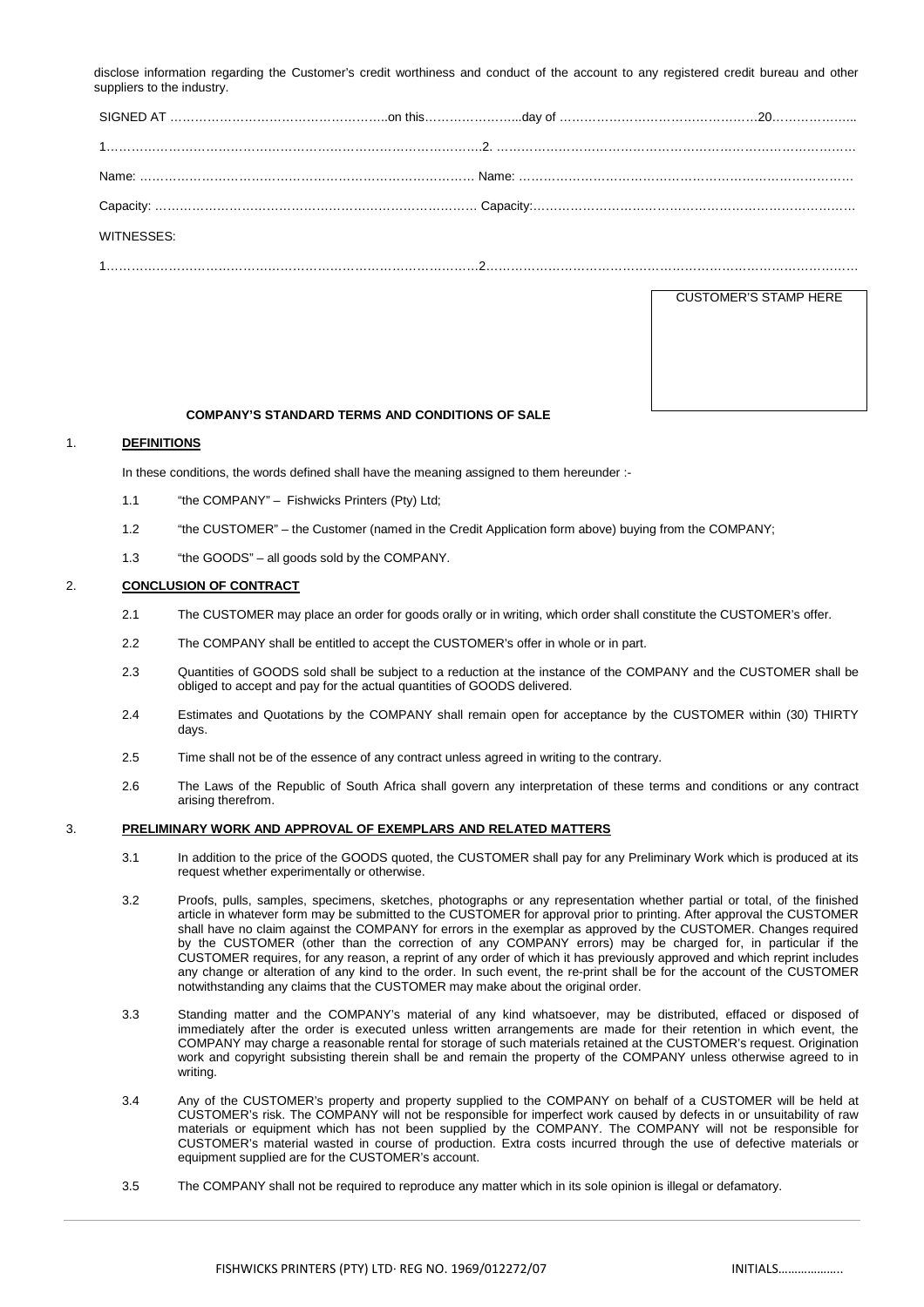disclose information regarding the Customer's credit worthiness and conduct of the account to any registered credit bureau and other suppliers to the industry.

| WITNESSES: |  |
|------------|--|
|            |  |

CUSTOMER'S STAMP HERE

#### **COMPANY'S STANDARD TERMS AND CONDITIONS OF SALE**

#### 1. **DEFINITIONS**

In these conditions, the words defined shall have the meaning assigned to them hereunder :-

- 1.1 "the COMPANY" Fishwicks Printers (Pty) Ltd;
- 1.2 "the CUSTOMER" the Customer (named in the Credit Application form above) buying from the COMPANY;
- 1.3 "the GOODS" all goods sold by the COMPANY.

#### 2. **CONCLUSION OF CONTRACT**

- 2.1 The CUSTOMER may place an order for goods orally or in writing, which order shall constitute the CUSTOMER's offer.
- 2.2 The COMPANY shall be entitled to accept the CUSTOMER's offer in whole or in part.
- 2.3 Quantities of GOODS sold shall be subject to a reduction at the instance of the COMPANY and the CUSTOMER shall be obliged to accept and pay for the actual quantities of GOODS delivered.
- 2.4 Estimates and Quotations by the COMPANY shall remain open for acceptance by the CUSTOMER within (30) THIRTY days.
- 2.5 Time shall not be of the essence of any contract unless agreed in writing to the contrary.
- 2.6 The Laws of the Republic of South Africa shall govern any interpretation of these terms and conditions or any contract arising therefrom.

#### 3. **PRELIMINARY WORK AND APPROVAL OF EXEMPLARS AND RELATED MATTERS**

- 3.1 In addition to the price of the GOODS quoted, the CUSTOMER shall pay for any Preliminary Work which is produced at its request whether experimentally or otherwise.
- 3.2 Proofs, pulls, samples, specimens, sketches, photographs or any representation whether partial or total, of the finished article in whatever form may be submitted to the CUSTOMER for approval prior to printing. After approval the CUSTOMER shall have no claim against the COMPANY for errors in the exemplar as approved by the CUSTOMER. Changes required by the CUSTOMER (other than the correction of any COMPANY errors) may be charged for, in particular if the CUSTOMER requires, for any reason, a reprint of any order of which it has previously approved and which reprint includes any change or alteration of any kind to the order. In such event, the re-print shall be for the account of the CUSTOMER notwithstanding any claims that the CUSTOMER may make about the original order.
- 3.3 Standing matter and the COMPANY's material of any kind whatsoever, may be distributed, effaced or disposed of immediately after the order is executed unless written arrangements are made for their retention in which event, the COMPANY may charge a reasonable rental for storage of such materials retained at the CUSTOMER's request. Origination work and copyright subsisting therein shall be and remain the property of the COMPANY unless otherwise agreed to in writing.
- 3.4 Any of the CUSTOMER's property and property supplied to the COMPANY on behalf of a CUSTOMER will be held at CUSTOMER's risk. The COMPANY will not be responsible for imperfect work caused by defects in or unsuitability of raw materials or equipment which has not been supplied by the COMPANY. The COMPANY will not be responsible for CUSTOMER's material wasted in course of production. Extra costs incurred through the use of defective materials or equipment supplied are for the CUSTOMER's account.
- 3.5 The COMPANY shall not be required to reproduce any matter which in its sole opinion is illegal or defamatory.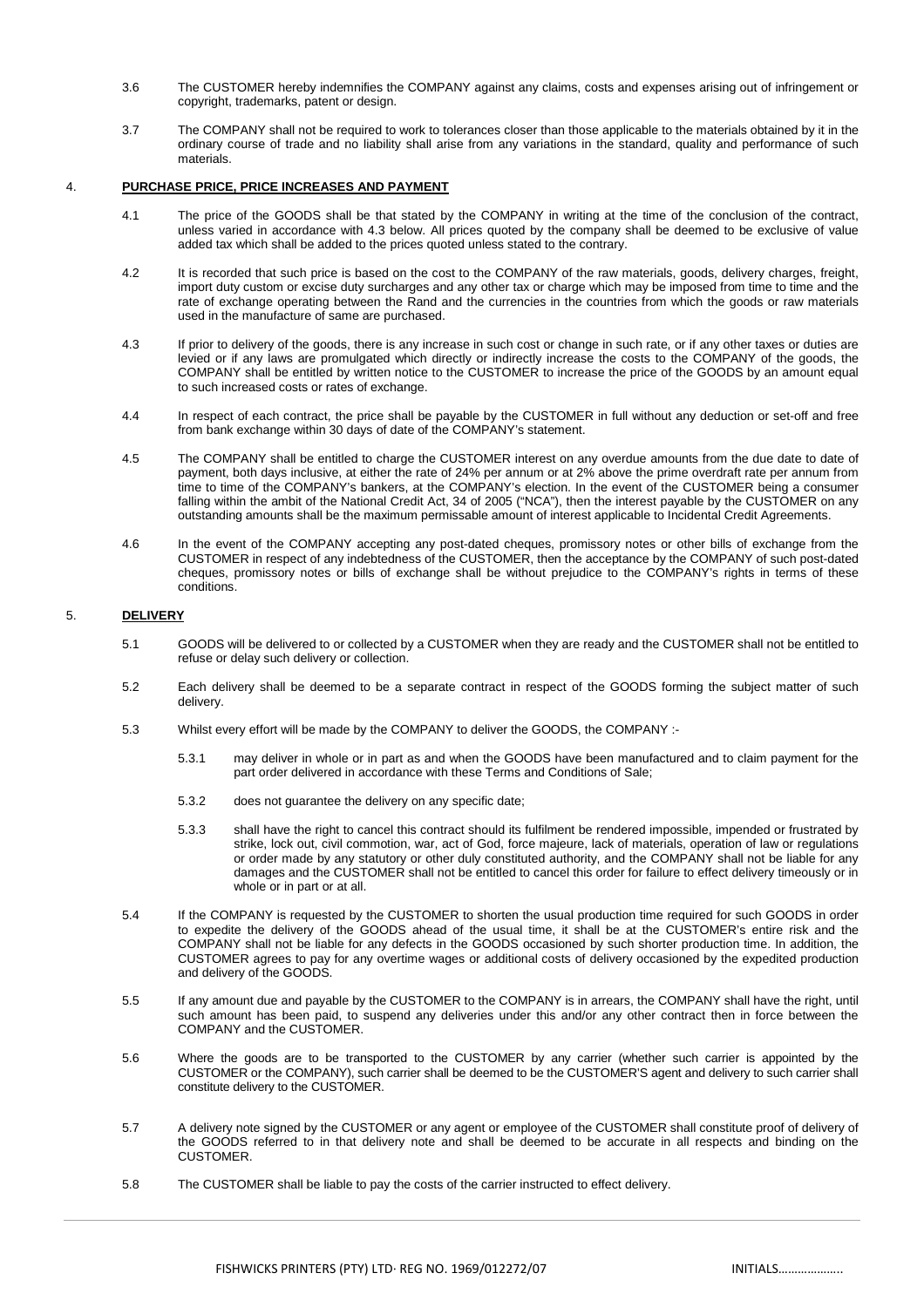- 3.6 The CUSTOMER hereby indemnifies the COMPANY against any claims, costs and expenses arising out of infringement or copyright, trademarks, patent or design.
- 3.7 The COMPANY shall not be required to work to tolerances closer than those applicable to the materials obtained by it in the ordinary course of trade and no liability shall arise from any variations in the standard, quality and performance of such materials.

#### 4. **PURCHASE PRICE, PRICE INCREASES AND PAYMENT**

- 4.1 The price of the GOODS shall be that stated by the COMPANY in writing at the time of the conclusion of the contract, unless varied in accordance with 4.3 below. All prices quoted by the company shall be deemed to be exclusive of value added tax which shall be added to the prices quoted unless stated to the contrary.
- 4.2 It is recorded that such price is based on the cost to the COMPANY of the raw materials, goods, delivery charges, freight, import duty custom or excise duty surcharges and any other tax or charge which may be imposed from time to time and the rate of exchange operating between the Rand and the currencies in the countries from which the goods or raw materials used in the manufacture of same are purchased.
- 4.3 If prior to delivery of the goods, there is any increase in such cost or change in such rate, or if any other taxes or duties are levied or if any laws are promulgated which directly or indirectly increase the costs to the COMPANY of the goods, the COMPANY shall be entitled by written notice to the CUSTOMER to increase the price of the GOODS by an amount equal to such increased costs or rates of exchange.
- 4.4 In respect of each contract, the price shall be payable by the CUSTOMER in full without any deduction or set-off and free from bank exchange within 30 days of date of the COMPANY's statement.
- 4.5 The COMPANY shall be entitled to charge the CUSTOMER interest on any overdue amounts from the due date to date of payment, both days inclusive, at either the rate of 24% per annum or at 2% above the prime overdraft rate per annum from time to time of the COMPANY's bankers, at the COMPANY's election. In the event of the CUSTOMER being a consumer falling within the ambit of the National Credit Act, 34 of 2005 ("NCA"), then the interest payable by the CUSTOMER on any outstanding amounts shall be the maximum permissable amount of interest applicable to Incidental Credit Agreements.
- 4.6 In the event of the COMPANY accepting any post-dated cheques, promissory notes or other bills of exchange from the CUSTOMER in respect of any indebtedness of the CUSTOMER, then the acceptance by the COMPANY of such post-dated cheques, promissory notes or bills of exchange shall be without prejudice to the COMPANY's rights in terms of these conditions.

#### 5. **DELIVERY**

- 5.1 GOODS will be delivered to or collected by a CUSTOMER when they are ready and the CUSTOMER shall not be entitled to refuse or delay such delivery or collection.
- 5.2 Each delivery shall be deemed to be a separate contract in respect of the GOODS forming the subject matter of such delivery.
- 5.3 Whilst every effort will be made by the COMPANY to deliver the GOODS, the COMPANY :-
	- 5.3.1 may deliver in whole or in part as and when the GOODS have been manufactured and to claim payment for the part order delivered in accordance with these Terms and Conditions of Sale;
	- 5.3.2 does not guarantee the delivery on any specific date;
	- 5.3.3 shall have the right to cancel this contract should its fulfilment be rendered impossible, impended or frustrated by strike, lock out, civil commotion, war, act of God, force majeure, lack of materials, operation of law or regulations or order made by any statutory or other duly constituted authority, and the COMPANY shall not be liable for any damages and the CUSTOMER shall not be entitled to cancel this order for failure to effect delivery timeously or in whole or in part or at all.
- 5.4 If the COMPANY is requested by the CUSTOMER to shorten the usual production time required for such GOODS in order to expedite the delivery of the GOODS ahead of the usual time, it shall be at the CUSTOMER's entire risk and the COMPANY shall not be liable for any defects in the GOODS occasioned by such shorter production time. In addition, the CUSTOMER agrees to pay for any overtime wages or additional costs of delivery occasioned by the expedited production and delivery of the GOODS.
- 5.5 If any amount due and payable by the CUSTOMER to the COMPANY is in arrears, the COMPANY shall have the right, until such amount has been paid, to suspend any deliveries under this and/or any other contract then in force between the COMPANY and the CUSTOMER.
- 5.6 Where the goods are to be transported to the CUSTOMER by any carrier (whether such carrier is appointed by the CUSTOMER or the COMPANY), such carrier shall be deemed to be the CUSTOMER'S agent and delivery to such carrier shall constitute delivery to the CUSTOMER.
- 5.7 A delivery note signed by the CUSTOMER or any agent or employee of the CUSTOMER shall constitute proof of delivery of the GOODS referred to in that delivery note and shall be deemed to be accurate in all respects and binding on the CUSTOMER.
- 5.8 The CUSTOMER shall be liable to pay the costs of the carrier instructed to effect delivery.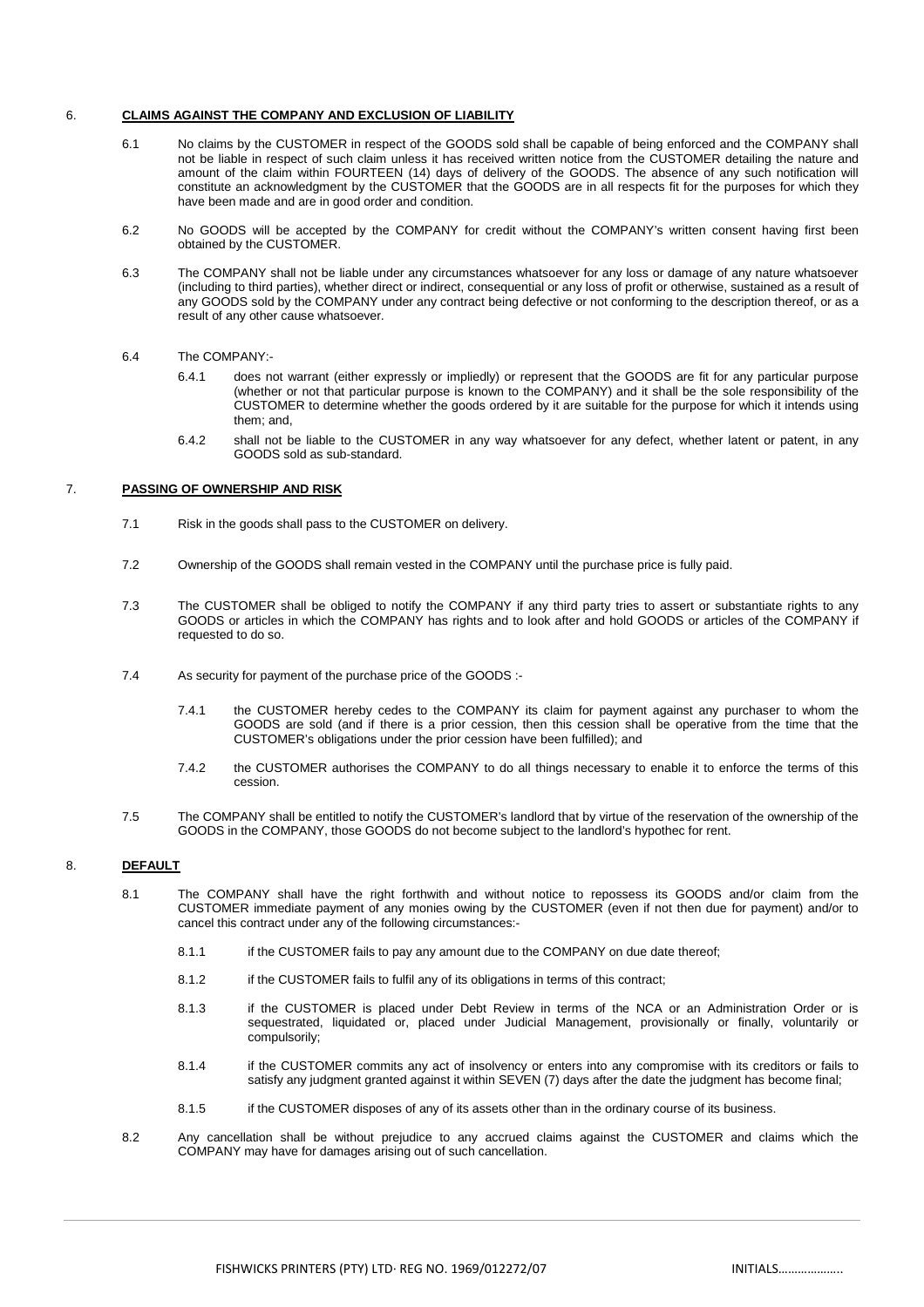#### 6. **CLAIMS AGAINST THE COMPANY AND EXCLUSION OF LIABILITY**

- 6.1 No claims by the CUSTOMER in respect of the GOODS sold shall be capable of being enforced and the COMPANY shall not be liable in respect of such claim unless it has received written notice from the CUSTOMER detailing the nature and amount of the claim within FOURTEEN (14) days of delivery of the GOODS. The absence of any such notification will constitute an acknowledgment by the CUSTOMER that the GOODS are in all respects fit for the purposes for which they have been made and are in good order and condition.
- 6.2 No GOODS will be accepted by the COMPANY for credit without the COMPANY's written consent having first been obtained by the CUSTOMER.
- 6.3 The COMPANY shall not be liable under any circumstances whatsoever for any loss or damage of any nature whatsoever (including to third parties), whether direct or indirect, consequential or any loss of profit or otherwise, sustained as a result of any GOODS sold by the COMPANY under any contract being defective or not conforming to the description thereof, or as a result of any other cause whatsoever.

#### 6.4 The COMPANY:-

- 6.4.1 does not warrant (either expressly or impliedly) or represent that the GOODS are fit for any particular purpose (whether or not that particular purpose is known to the COMPANY) and it shall be the sole responsibility of the CUSTOMER to determine whether the goods ordered by it are suitable for the purpose for which it intends using them; and,
- 6.4.2 shall not be liable to the CUSTOMER in any way whatsoever for any defect, whether latent or patent, in any GOODS sold as sub-standard.

#### 7. **PASSING OF OWNERSHIP AND RISK**

- 7.1 Risk in the goods shall pass to the CUSTOMER on delivery.
- 7.2 Ownership of the GOODS shall remain vested in the COMPANY until the purchase price is fully paid.
- 7.3 The CUSTOMER shall be obliged to notify the COMPANY if any third party tries to assert or substantiate rights to any GOODS or articles in which the COMPANY has rights and to look after and hold GOODS or articles of the COMPANY if requested to do so.
- 7.4 As security for payment of the purchase price of the GOODS :-
	- 7.4.1 the CUSTOMER hereby cedes to the COMPANY its claim for payment against any purchaser to whom the GOODS are sold (and if there is a prior cession, then this cession shall be operative from the time that the CUSTOMER's obligations under the prior cession have been fulfilled); and
	- 7.4.2 the CUSTOMER authorises the COMPANY to do all things necessary to enable it to enforce the terms of this cession.
- 7.5 The COMPANY shall be entitled to notify the CUSTOMER's landlord that by virtue of the reservation of the ownership of the GOODS in the COMPANY, those GOODS do not become subject to the landlord's hypothec for rent.

#### 8. **DEFAULT**

- 8.1 The COMPANY shall have the right forthwith and without notice to repossess its GOODS and/or claim from the CUSTOMER immediate payment of any monies owing by the CUSTOMER (even if not then due for payment) and/or to cancel this contract under any of the following circumstances:-
	- 8.1.1 if the CUSTOMER fails to pay any amount due to the COMPANY on due date thereof;
	- 8.1.2 if the CUSTOMER fails to fulfil any of its obligations in terms of this contract;
	- 8.1.3 if the CUSTOMER is placed under Debt Review in terms of the NCA or an Administration Order or is sequestrated, liquidated or, placed under Judicial Management, provisionally or finally, voluntarily or compulsorily;
	- 8.1.4 if the CUSTOMER commits any act of insolvency or enters into any compromise with its creditors or fails to satisfy any judgment granted against it within SEVEN (7) days after the date the judgment has become final;
	- 8.1.5 if the CUSTOMER disposes of any of its assets other than in the ordinary course of its business.
- 8.2 Any cancellation shall be without prejudice to any accrued claims against the CUSTOMER and claims which the COMPANY may have for damages arising out of such cancellation.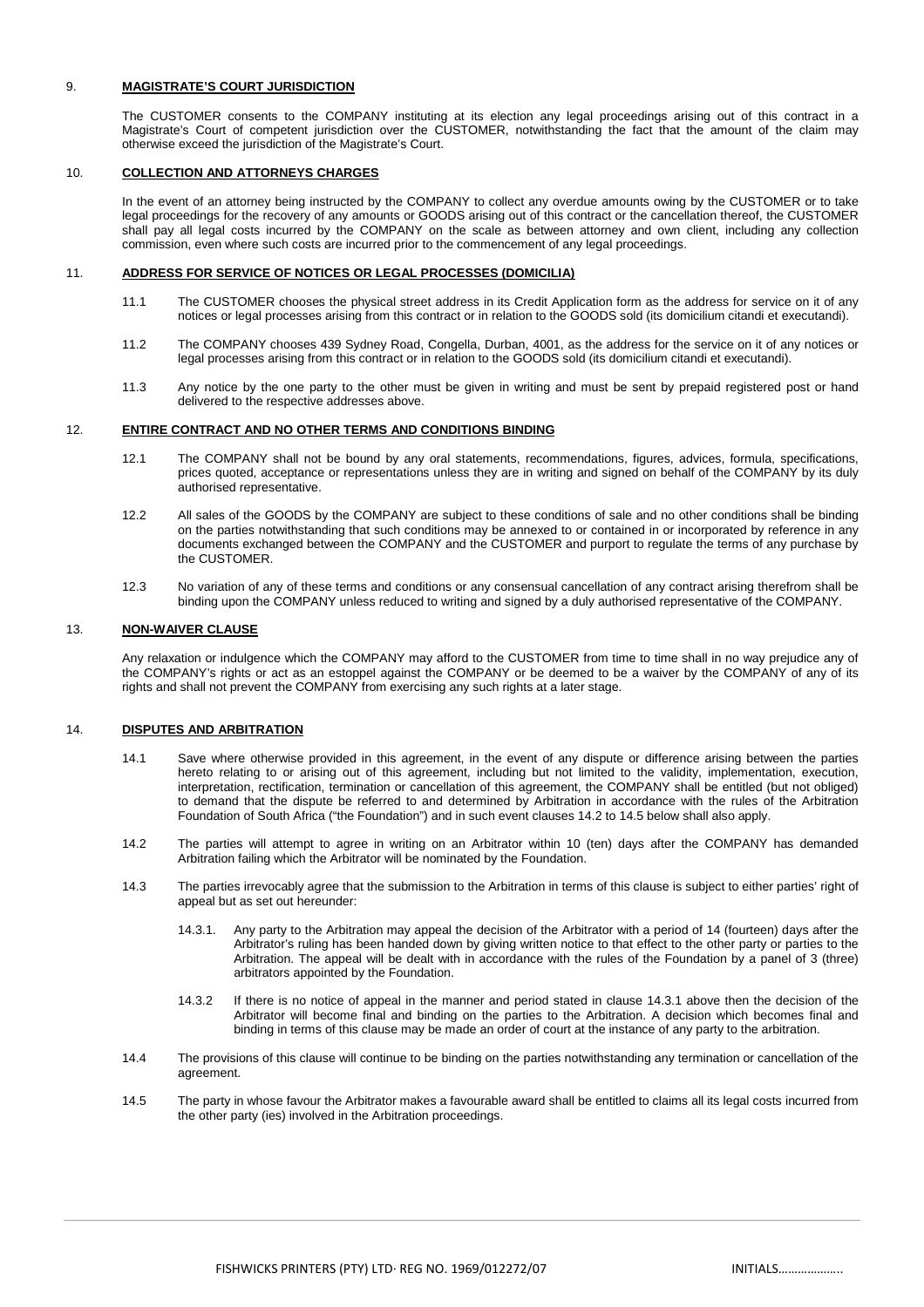#### 9. **MAGISTRATE'S COURT JURISDICTION**

 The CUSTOMER consents to the COMPANY instituting at its election any legal proceedings arising out of this contract in a Magistrate's Court of competent jurisdiction over the CUSTOMER, notwithstanding the fact that the amount of the claim may otherwise exceed the jurisdiction of the Magistrate's Court.

#### 10. **COLLECTION AND ATTORNEYS CHARGES**

In the event of an attorney being instructed by the COMPANY to collect any overdue amounts owing by the CUSTOMER or to take legal proceedings for the recovery of any amounts or GOODS arising out of this contract or the cancellation thereof, the CUSTOMER shall pay all legal costs incurred by the COMPANY on the scale as between attorney and own client, including any collection commission, even where such costs are incurred prior to the commencement of any legal proceedings.

#### 11. **ADDRESS FOR SERVICE OF NOTICES OR LEGAL PROCESSES (DOMICILIA)**

- 11.1 The CUSTOMER chooses the physical street address in its Credit Application form as the address for service on it of any notices or legal processes arising from this contract or in relation to the GOODS sold (its domicilium citandi et executandi).
- 11.2 The COMPANY chooses 439 Sydney Road, Congella, Durban, 4001, as the address for the service on it of any notices or legal processes arising from this contract or in relation to the GOODS sold (its domicilium citandi et executandi).
- 11.3 Any notice by the one party to the other must be given in writing and must be sent by prepaid registered post or hand delivered to the respective addresses above.

#### 12. **ENTIRE CONTRACT AND NO OTHER TERMS AND CONDITIONS BINDING**

- 12.1 The COMPANY shall not be bound by any oral statements, recommendations, figures, advices, formula, specifications, prices quoted, acceptance or representations unless they are in writing and signed on behalf of the COMPANY by its duly authorised representative.
- 12.2 All sales of the GOODS by the COMPANY are subject to these conditions of sale and no other conditions shall be binding on the parties notwithstanding that such conditions may be annexed to or contained in or incorporated by reference in any documents exchanged between the COMPANY and the CUSTOMER and purport to regulate the terms of any purchase by the CUSTOMER.
- 12.3 No variation of any of these terms and conditions or any consensual cancellation of any contract arising therefrom shall be binding upon the COMPANY unless reduced to writing and signed by a duly authorised representative of the COMPANY.

#### 13. **NON-WAIVER CLAUSE**

Any relaxation or indulgence which the COMPANY may afford to the CUSTOMER from time to time shall in no way prejudice any of the COMPANY's rights or act as an estoppel against the COMPANY or be deemed to be a waiver by the COMPANY of any of its rights and shall not prevent the COMPANY from exercising any such rights at a later stage.

#### 14. **DISPUTES AND ARBITRATION**

- 14.1 Save where otherwise provided in this agreement, in the event of any dispute or difference arising between the parties hereto relating to or arising out of this agreement, including but not limited to the validity, implementation, execution, interpretation, rectification, termination or cancellation of this agreement, the COMPANY shall be entitled (but not obliged) to demand that the dispute be referred to and determined by Arbitration in accordance with the rules of the Arbitration Foundation of South Africa ("the Foundation") and in such event clauses 14.2 to 14.5 below shall also apply.
- 14.2 The parties will attempt to agree in writing on an Arbitrator within 10 (ten) days after the COMPANY has demanded Arbitration failing which the Arbitrator will be nominated by the Foundation.
- 14.3 The parties irrevocably agree that the submission to the Arbitration in terms of this clause is subject to either parties' right of appeal but as set out hereunder:
	- 14.3.1. Any party to the Arbitration may appeal the decision of the Arbitrator with a period of 14 (fourteen) days after the Arbitrator's ruling has been handed down by giving written notice to that effect to the other party or parties to the Arbitration. The appeal will be dealt with in accordance with the rules of the Foundation by a panel of 3 (three) arbitrators appointed by the Foundation.
	- 14.3.2 If there is no notice of appeal in the manner and period stated in clause 14.3.1 above then the decision of the Arbitrator will become final and binding on the parties to the Arbitration. A decision which becomes final and binding in terms of this clause may be made an order of court at the instance of any party to the arbitration.
- 14.4 The provisions of this clause will continue to be binding on the parties notwithstanding any termination or cancellation of the agreement.
- 14.5 The party in whose favour the Arbitrator makes a favourable award shall be entitled to claims all its legal costs incurred from the other party (ies) involved in the Arbitration proceedings.